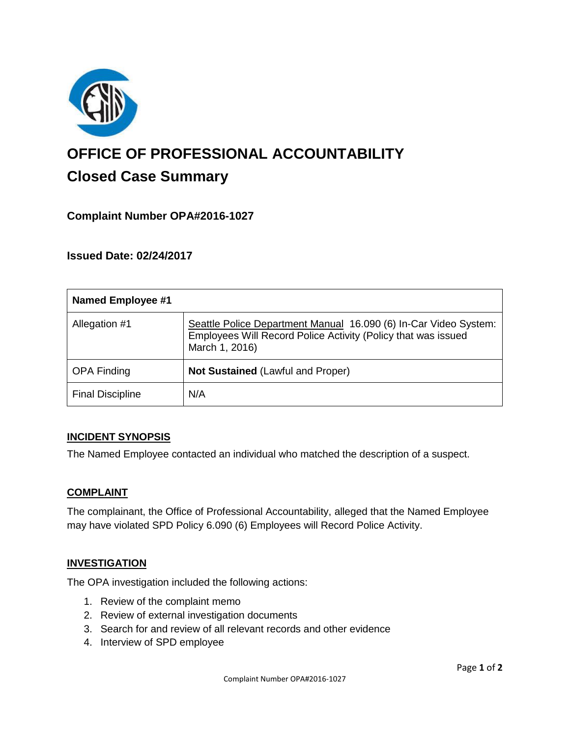

# **OFFICE OF PROFESSIONAL ACCOUNTABILITY Closed Case Summary**

# **Complaint Number OPA#2016-1027**

**Issued Date: 02/24/2017**

| <b>Named Employee #1</b> |                                                                                                                                                     |
|--------------------------|-----------------------------------------------------------------------------------------------------------------------------------------------------|
| Allegation #1            | Seattle Police Department Manual 16.090 (6) In-Car Video System:<br>Employees Will Record Police Activity (Policy that was issued<br>March 1, 2016) |
| <b>OPA Finding</b>       | <b>Not Sustained (Lawful and Proper)</b>                                                                                                            |
| <b>Final Discipline</b>  | N/A                                                                                                                                                 |

#### **INCIDENT SYNOPSIS**

The Named Employee contacted an individual who matched the description of a suspect.

#### **COMPLAINT**

The complainant, the Office of Professional Accountability, alleged that the Named Employee may have violated SPD Policy 6.090 (6) Employees will Record Police Activity.

#### **INVESTIGATION**

The OPA investigation included the following actions:

- 1. Review of the complaint memo
- 2. Review of external investigation documents
- 3. Search for and review of all relevant records and other evidence
- 4. Interview of SPD employee